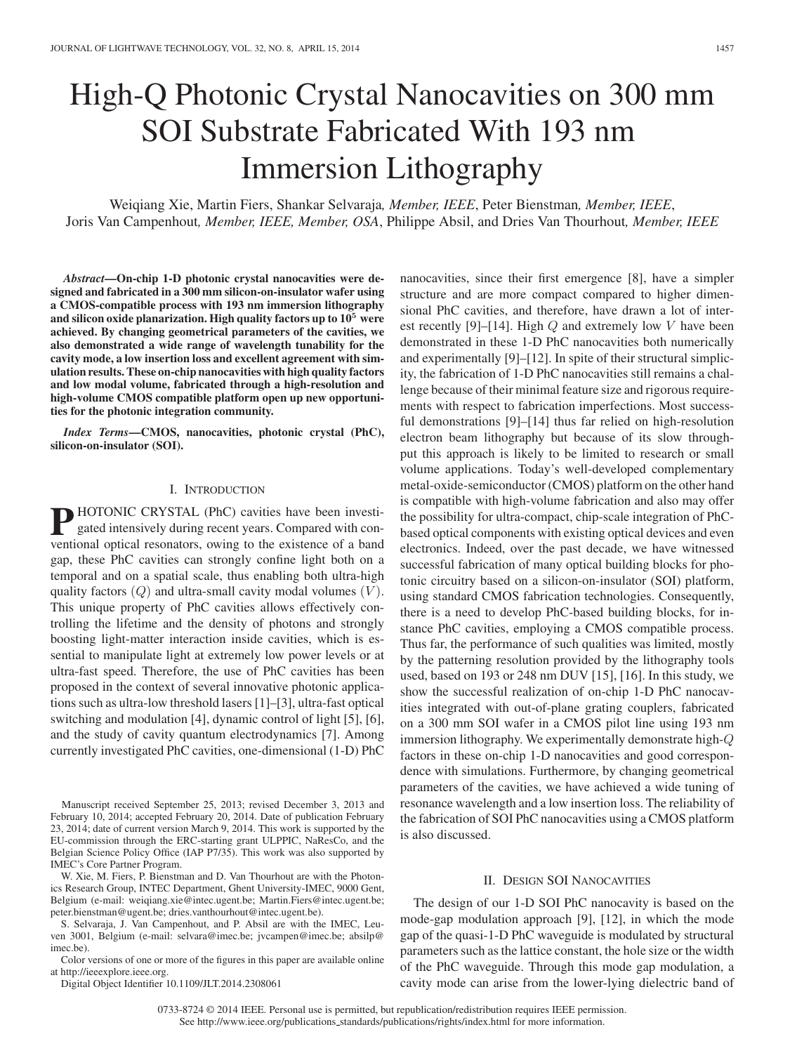# High-Q Photonic Crystal Nanocavities on 300 mm SOI Substrate Fabricated With 193 nm Immersion Lithography

Weiqiang Xie, Martin Fiers, Shankar Selvaraja*, Member, IEEE*, Peter Bienstman*, Member, IEEE*, Joris Van Campenhout*, Member, IEEE, Member, OSA*, Philippe Absil, and Dries Van Thourhout*, Member, IEEE*

*Abstract***—On-chip 1-D photonic crystal nanocavities were designed and fabricated in a 300 mm silicon-on-insulator wafer using a CMOS-compatible process with 193 nm immersion lithography and silicon oxide planarization. High quality factors up to 10<sup>5</sup> were achieved. By changing geometrical parameters of the cavities, we also demonstrated a wide range of wavelength tunability for the cavity mode, a low insertion loss and excellent agreement with simulation results. These on-chip nanocavities with high quality factors and low modal volume, fabricated through a high-resolution and high-volume CMOS compatible platform open up new opportunities for the photonic integration community.**

*Index Terms***—CMOS, nanocavities, photonic crystal (PhC), silicon-on-insulator (SOI).**

# I. INTRODUCTION

**P** HOTONIC CRYSTAL (PhC) cavities have been investigated intensively during recent years. Compared with conventional optical resonators, owing to the existence of a band gap, these PhC cavities can strongly confine light both on a temporal and on a spatial scale, thus enabling both ultra-high quality factors  $(Q)$  and ultra-small cavity modal volumes  $(V)$ . This unique property of PhC cavities allows effectively controlling the lifetime and the density of photons and strongly boosting light-matter interaction inside cavities, which is essential to manipulate light at extremely low power levels or at ultra-fast speed. Therefore, the use of PhC cavities has been proposed in the context of several innovative photonic applications such as ultra-low threshold lasers [1]–[3], ultra-fast optical switching and modulation [4], dynamic control of light [5], [6], and the study of cavity quantum electrodynamics [7]. Among currently investigated PhC cavities, one-dimensional (1-D) PhC

W. Xie, M. Fiers, P. Bienstman and D. Van Thourhout are with the Photonics Research Group, INTEC Department, Ghent University-IMEC, 9000 Gent, Belgium (e-mail: weiqiang.xie@intec.ugent.be; Martin.Fiers@intec.ugent.be; peter.bienstman@ugent.be; dries.vanthourhout@intec.ugent.be).

S. Selvaraja, J. Van Campenhout, and P. Absil are with the IMEC, Leuven 3001, Belgium (e-mail: selvara@imec.be; jvcampen@imec.be; absilp@ imec.be).

Color versions of one or more of the figures in this paper are available online at http://ieeexplore.ieee.org.

Digital Object Identifier 10.1109/JLT.2014.2308061

nanocavities, since their first emergence [8], have a simpler structure and are more compact compared to higher dimensional PhC cavities, and therefore, have drawn a lot of interest recently [9]–[14]. High  $Q$  and extremely low  $V$  have been demonstrated in these 1-D PhC nanocavities both numerically and experimentally [9]–[12]. In spite of their structural simplicity, the fabrication of 1-D PhC nanocavities still remains a challenge because of their minimal feature size and rigorous requirements with respect to fabrication imperfections. Most successful demonstrations [9]–[14] thus far relied on high-resolution electron beam lithography but because of its slow throughput this approach is likely to be limited to research or small volume applications. Today's well-developed complementary metal-oxide-semiconductor (CMOS) platform on the other hand is compatible with high-volume fabrication and also may offer the possibility for ultra-compact, chip-scale integration of PhCbased optical components with existing optical devices and even electronics. Indeed, over the past decade, we have witnessed successful fabrication of many optical building blocks for photonic circuitry based on a silicon-on-insulator (SOI) platform, using standard CMOS fabrication technologies. Consequently, there is a need to develop PhC-based building blocks, for instance PhC cavities, employing a CMOS compatible process. Thus far, the performance of such qualities was limited, mostly by the patterning resolution provided by the lithography tools used, based on 193 or 248 nm DUV [15], [16]. In this study, we show the successful realization of on-chip 1-D PhC nanocavities integrated with out-of-plane grating couplers, fabricated on a 300 mm SOI wafer in a CMOS pilot line using 193 nm immersion lithography. We experimentally demonstrate high-Q factors in these on-chip 1-D nanocavities and good correspondence with simulations. Furthermore, by changing geometrical parameters of the cavities, we have achieved a wide tuning of resonance wavelength and a low insertion loss. The reliability of the fabrication of SOI PhC nanocavities using a CMOS platform is also discussed.

## II. DESIGN SOI NANOCAVITIES

The design of our 1-D SOI PhC nanocavity is based on the mode-gap modulation approach [9], [12], in which the mode gap of the quasi-1-D PhC waveguide is modulated by structural parameters such as the lattice constant, the hole size or the width of the PhC waveguide. Through this mode gap modulation, a cavity mode can arise from the lower-lying dielectric band of

0733-8724 © 2014 IEEE. Personal use is permitted, but republication/redistribution requires IEEE permission. See http://www.ieee.org/publications\_standards/publications/rights/index.html for more information.

Manuscript received September 25, 2013; revised December 3, 2013 and February 10, 2014; accepted February 20, 2014. Date of publication February 23, 2014; date of current version March 9, 2014. This work is supported by the EU-commission through the ERC-starting grant ULPPIC, NaResCo, and the Belgian Science Policy Office (IAP P7/35). This work was also supported by IMEC's Core Partner Program.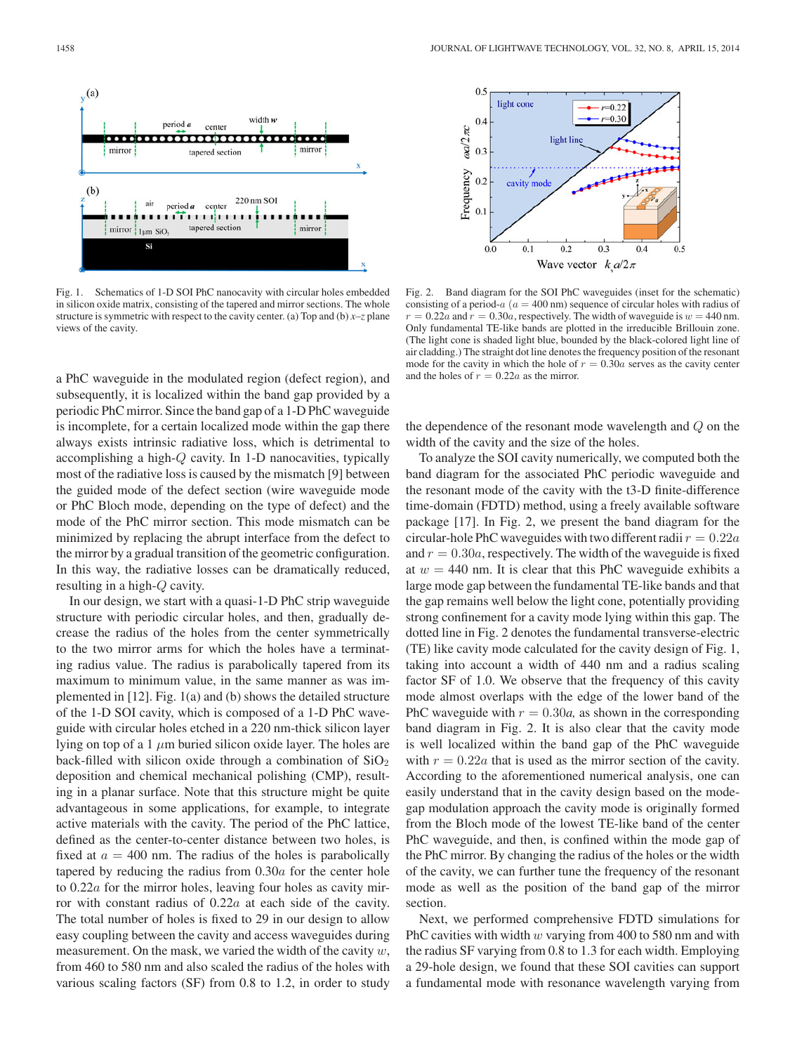

Fig. 1. Schematics of 1-D SOI PhC nanocavity with circular holes embedded in silicon oxide matrix, consisting of the tapered and mirror sections. The whole structure is symmetric with respect to the cavity center. (a) Top and (b) *x–z* plane views of the cavity.

a PhC waveguide in the modulated region (defect region), and subsequently, it is localized within the band gap provided by a periodic PhC mirror. Since the band gap of a 1-D PhC waveguide is incomplete, for a certain localized mode within the gap there always exists intrinsic radiative loss, which is detrimental to accomplishing a high-Q cavity. In 1-D nanocavities, typically most of the radiative loss is caused by the mismatch [9] between the guided mode of the defect section (wire waveguide mode or PhC Bloch mode, depending on the type of defect) and the mode of the PhC mirror section. This mode mismatch can be minimized by replacing the abrupt interface from the defect to the mirror by a gradual transition of the geometric configuration. In this way, the radiative losses can be dramatically reduced, resulting in a high-Q cavity.

In our design, we start with a quasi-1-D PhC strip waveguide structure with periodic circular holes, and then, gradually decrease the radius of the holes from the center symmetrically to the two mirror arms for which the holes have a terminating radius value. The radius is parabolically tapered from its maximum to minimum value, in the same manner as was implemented in [12]. Fig. 1(a) and (b) shows the detailed structure of the 1-D SOI cavity, which is composed of a 1-D PhC waveguide with circular holes etched in a 220 nm-thick silicon layer lying on top of a 1  $\mu$ m buried silicon oxide layer. The holes are back-filled with silicon oxide through a combination of  $SiO<sub>2</sub>$ deposition and chemical mechanical polishing (CMP), resulting in a planar surface. Note that this structure might be quite advantageous in some applications, for example, to integrate active materials with the cavity. The period of the PhC lattice, defined as the center-to-center distance between two holes, is fixed at  $a = 400$  nm. The radius of the holes is parabolically tapered by reducing the radius from 0.30a for the center hole to 0.22a for the mirror holes, leaving four holes as cavity mirror with constant radius of  $0.22a$  at each side of the cavity. The total number of holes is fixed to 29 in our design to allow easy coupling between the cavity and access waveguides during measurement. On the mask, we varied the width of the cavity  $w$ , from 460 to 580 nm and also scaled the radius of the holes with various scaling factors (SF) from 0.8 to 1.2, in order to study



Fig. 2. Band diagram for the SOI PhC waveguides (inset for the schematic) consisting of a period- $a$  ( $a = 400$  nm) sequence of circular holes with radius of  $r = 0.22a$  and  $r = 0.30a$ , respectively. The width of waveguide is  $w = 440$  nm. Only fundamental TE-like bands are plotted in the irreducible Brillouin zone. (The light cone is shaded light blue, bounded by the black-colored light line of air cladding.) The straight dot line denotes the frequency position of the resonant mode for the cavity in which the hole of  $r = 0.30a$  serves as the cavity center and the holes of  $r = 0.22a$  as the mirror.

the dependence of the resonant mode wavelength and Q on the width of the cavity and the size of the holes.

To analyze the SOI cavity numerically, we computed both the band diagram for the associated PhC periodic waveguide and the resonant mode of the cavity with the t3-D finite-difference time-domain (FDTD) method, using a freely available software package [17]. In Fig. 2, we present the band diagram for the circular-hole PhC waveguides with two different radii  $r = 0.22a$ and  $r = 0.30a$ , respectively. The width of the waveguide is fixed at  $w = 440$  nm. It is clear that this PhC waveguide exhibits a large mode gap between the fundamental TE-like bands and that the gap remains well below the light cone, potentially providing strong confinement for a cavity mode lying within this gap. The dotted line in Fig. 2 denotes the fundamental transverse-electric (TE) like cavity mode calculated for the cavity design of Fig. 1, taking into account a width of 440 nm and a radius scaling factor SF of 1.0. We observe that the frequency of this cavity mode almost overlaps with the edge of the lower band of the PhC waveguide with  $r = 0.30a$ , as shown in the corresponding band diagram in Fig. 2. It is also clear that the cavity mode is well localized within the band gap of the PhC waveguide with  $r = 0.22a$  that is used as the mirror section of the cavity. According to the aforementioned numerical analysis, one can easily understand that in the cavity design based on the modegap modulation approach the cavity mode is originally formed from the Bloch mode of the lowest TE-like band of the center PhC waveguide, and then, is confined within the mode gap of the PhC mirror. By changing the radius of the holes or the width of the cavity, we can further tune the frequency of the resonant mode as well as the position of the band gap of the mirror section.

Next, we performed comprehensive FDTD simulations for PhC cavities with width  $w$  varying from 400 to 580 nm and with the radius SF varying from 0.8 to 1.3 for each width. Employing a 29-hole design, we found that these SOI cavities can support a fundamental mode with resonance wavelength varying from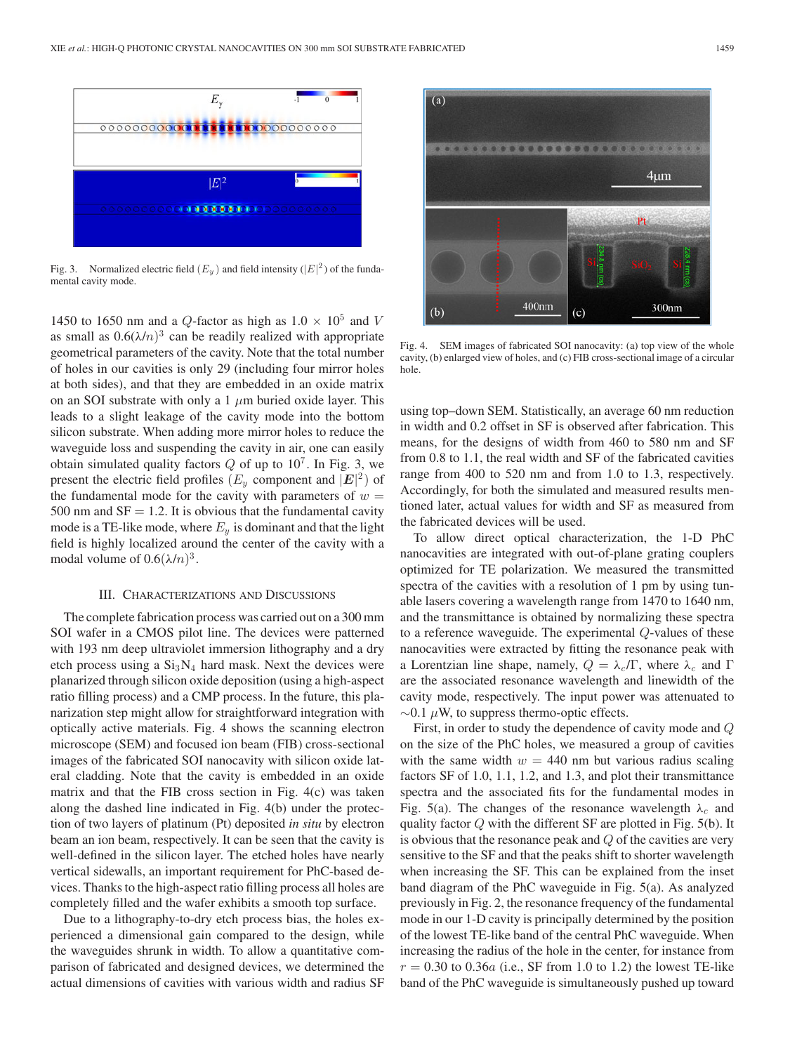

Fig. 3. Normalized electric field  $(E_y)$  and field intensity  $(|E|^2)$  of the fundamental cavity mode.

1450 to 1650 nm and a Q-factor as high as  $1.0 \times 10^5$  and V as small as  $0.6(\lambda/n)^3$  can be readily realized with appropriate geometrical parameters of the cavity. Note that the total number of holes in our cavities is only 29 (including four mirror holes at both sides), and that they are embedded in an oxide matrix on an SOI substrate with only a 1  $\mu$ m buried oxide layer. This leads to a slight leakage of the cavity mode into the bottom silicon substrate. When adding more mirror holes to reduce the waveguide loss and suspending the cavity in air, one can easily obtain simulated quality factors  $Q$  of up to  $10^7$ . In Fig. 3, we present the electric field profiles  $(E_y \text{ component and } |\mathbf{E}|^2)$  of the fundamental mode for the cavity with parameters of  $w =$ 500 nm and  $SF = 1.2$ . It is obvious that the fundamental cavity mode is a TE-like mode, where  $E_y$  is dominant and that the light field is highly localized around the center of the cavity with a modal volume of  $0.6(\lambda/n)^3$ .

#### III. CHARACTERIZATIONS AND DISCUSSIONS

The complete fabrication process was carried out on a 300 mm SOI wafer in a CMOS pilot line. The devices were patterned with 193 nm deep ultraviolet immersion lithography and a dry etch process using a  $Si<sub>3</sub>N<sub>4</sub>$  hard mask. Next the devices were planarized through silicon oxide deposition (using a high-aspect ratio filling process) and a CMP process. In the future, this planarization step might allow for straightforward integration with optically active materials. Fig. 4 shows the scanning electron microscope (SEM) and focused ion beam (FIB) cross-sectional images of the fabricated SOI nanocavity with silicon oxide lateral cladding. Note that the cavity is embedded in an oxide matrix and that the FIB cross section in Fig. 4(c) was taken along the dashed line indicated in Fig. 4(b) under the protection of two layers of platinum (Pt) deposited *in situ* by electron beam an ion beam, respectively. It can be seen that the cavity is well-defined in the silicon layer. The etched holes have nearly vertical sidewalls, an important requirement for PhC-based devices. Thanks to the high-aspect ratio filling process all holes are completely filled and the wafer exhibits a smooth top surface.

Due to a lithography-to-dry etch process bias, the holes experienced a dimensional gain compared to the design, while the waveguides shrunk in width. To allow a quantitative comparison of fabricated and designed devices, we determined the actual dimensions of cavities with various width and radius SF



Fig. 4. SEM images of fabricated SOI nanocavity: (a) top view of the whole cavity, (b) enlarged view of holes, and (c) FIB cross-sectional image of a circular hole.

using top–down SEM. Statistically, an average 60 nm reduction in width and 0.2 offset in SF is observed after fabrication. This means, for the designs of width from 460 to 580 nm and SF from 0.8 to 1.1, the real width and SF of the fabricated cavities range from 400 to 520 nm and from 1.0 to 1.3, respectively. Accordingly, for both the simulated and measured results mentioned later, actual values for width and SF as measured from the fabricated devices will be used.

To allow direct optical characterization, the 1-D PhC nanocavities are integrated with out-of-plane grating couplers optimized for TE polarization. We measured the transmitted spectra of the cavities with a resolution of 1 pm by using tunable lasers covering a wavelength range from 1470 to 1640 nm, and the transmittance is obtained by normalizing these spectra to a reference waveguide. The experimental Q-values of these nanocavities were extracted by fitting the resonance peak with a Lorentzian line shape, namely,  $Q = \lambda_c/\Gamma$ , where  $\lambda_c$  and  $\Gamma$ are the associated resonance wavelength and linewidth of the cavity mode, respectively. The input power was attenuated to  $\sim$ 0.1  $\mu$ W, to suppress thermo-optic effects.

First, in order to study the dependence of cavity mode and Q on the size of the PhC holes, we measured a group of cavities with the same width  $w = 440$  nm but various radius scaling factors SF of 1.0, 1.1, 1.2, and 1.3, and plot their transmittance spectra and the associated fits for the fundamental modes in Fig. 5(a). The changes of the resonance wavelength  $\lambda_c$  and quality factor  $Q$  with the different SF are plotted in Fig. 5(b). It is obvious that the resonance peak and Q of the cavities are very sensitive to the SF and that the peaks shift to shorter wavelength when increasing the SF. This can be explained from the inset band diagram of the PhC waveguide in Fig. 5(a). As analyzed previously in Fig. 2, the resonance frequency of the fundamental mode in our 1-D cavity is principally determined by the position of the lowest TE-like band of the central PhC waveguide. When increasing the radius of the hole in the center, for instance from  $r = 0.30$  to 0.36a (i.e., SF from 1.0 to 1.2) the lowest TE-like band of the PhC waveguide is simultaneously pushed up toward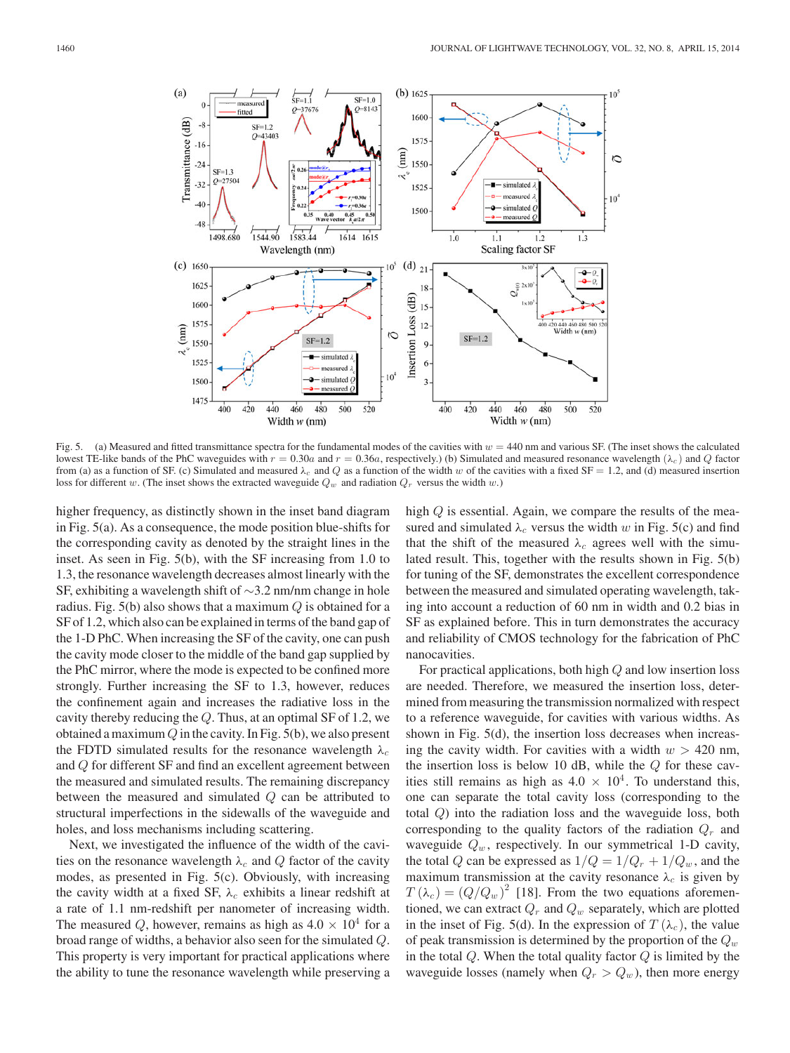

Fig. 5. (a) Measured and fitted transmittance spectra for the fundamental modes of the cavities with  $w = 440$  nm and various SF. (The inset shows the calculated lowest TE-like bands of the PhC waveguides with  $r = 0.30a$  and  $r = 0.36a$ , respectively.) (b) Simulated and measured resonance wavelength ( $\lambda_c$ ) and Q factor from (a) as a function of SF. (c) Simulated and measured  $\lambda_c$  and Q as a function of the width w of the cavities with a fixed SF = 1.2, and (d) measured insertion loss for different w. (The inset shows the extracted waveguide  $Q_w$  and radiation  $Q_r$  versus the width w.)

higher frequency, as distinctly shown in the inset band diagram in Fig. 5(a). As a consequence, the mode position blue-shifts for the corresponding cavity as denoted by the straight lines in the inset. As seen in Fig. 5(b), with the SF increasing from 1.0 to 1.3, the resonance wavelength decreases almost linearly with the SF, exhibiting a wavelength shift of ∼3.2 nm/nm change in hole radius. Fig. 5(b) also shows that a maximum  $Q$  is obtained for a SF of 1.2, which also can be explained in terms of the band gap of the 1-D PhC. When increasing the SF of the cavity, one can push the cavity mode closer to the middle of the band gap supplied by the PhC mirror, where the mode is expected to be confined more strongly. Further increasing the SF to 1.3, however, reduces the confinement again and increases the radiative loss in the cavity thereby reducing the Q. Thus, at an optimal SF of 1.2, we obtained a maximum  $Q$  in the cavity. In Fig. 5(b), we also present the FDTD simulated results for the resonance wavelength  $\lambda_c$ and Q for different SF and find an excellent agreement between the measured and simulated results. The remaining discrepancy between the measured and simulated Q can be attributed to structural imperfections in the sidewalls of the waveguide and holes, and loss mechanisms including scattering.

Next, we investigated the influence of the width of the cavities on the resonance wavelength  $\lambda_c$  and Q factor of the cavity modes, as presented in Fig. 5(c). Obviously, with increasing the cavity width at a fixed SF,  $\lambda_c$  exhibits a linear redshift at a rate of 1.1 nm-redshift per nanometer of increasing width. The measured Q, however, remains as high as  $4.0 \times 10^4$  for a broad range of widths, a behavior also seen for the simulated Q. This property is very important for practical applications where the ability to tune the resonance wavelength while preserving a high  $Q$  is essential. Again, we compare the results of the measured and simulated  $\lambda_c$  versus the width w in Fig. 5(c) and find that the shift of the measured  $\lambda_c$  agrees well with the simulated result. This, together with the results shown in Fig. 5(b) for tuning of the SF, demonstrates the excellent correspondence between the measured and simulated operating wavelength, taking into account a reduction of 60 nm in width and 0.2 bias in SF as explained before. This in turn demonstrates the accuracy and reliability of CMOS technology for the fabrication of PhC nanocavities.

For practical applications, both high Q and low insertion loss are needed. Therefore, we measured the insertion loss, determined from measuring the transmission normalized with respect to a reference waveguide, for cavities with various widths. As shown in Fig. 5(d), the insertion loss decreases when increasing the cavity width. For cavities with a width  $w > 420$  nm, the insertion loss is below 10 dB, while the  $Q$  for these cavities still remains as high as  $4.0 \times 10^4$ . To understand this, one can separate the total cavity loss (corresponding to the total Q) into the radiation loss and the waveguide loss, both corresponding to the quality factors of the radiation  $Q_r$  and waveguide  $Q_w$ , respectively. In our symmetrical 1-D cavity, the total Q can be expressed as  $1/Q = 1/Q_r + 1/Q_w$ , and the maximum transmission at the cavity resonance  $\lambda_c$  is given by  $T(\lambda_c) = (Q/Q_w )^2$  [18]. From the two equations aforementioned, we can extract  $Q_r$  and  $Q_w$  separately, which are plotted in the inset of Fig. 5(d). In the expression of  $T(\lambda_c)$ , the value of peak transmission is determined by the proportion of the  $Q_w$ in the total  $Q$ . When the total quality factor  $Q$  is limited by the waveguide losses (namely when  $Q_r > Q_w$ ), then more energy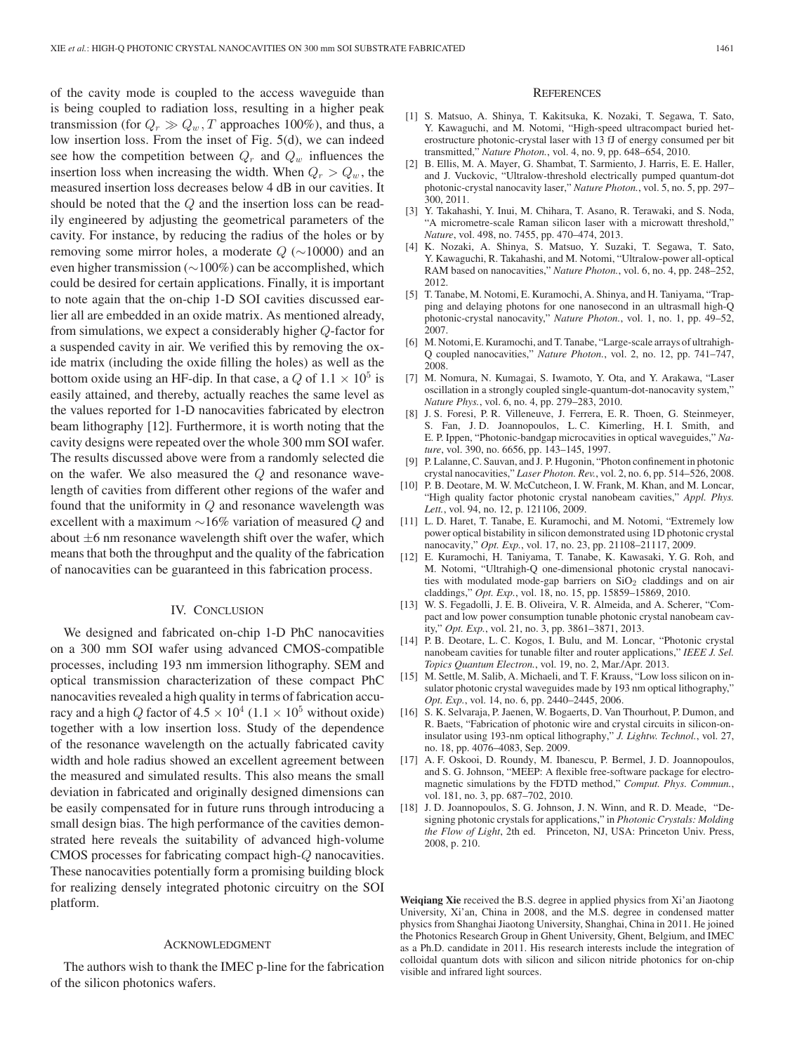of the cavity mode is coupled to the access waveguide than is being coupled to radiation loss, resulting in a higher peak transmission (for  $Q_r \gg Q_w$ , T approaches 100%), and thus, a low insertion loss. From the inset of Fig. 5(d), we can indeed see how the competition between  $Q_r$  and  $Q_w$  influences the insertion loss when increasing the width. When  $Q_r > Q_w$ , the measured insertion loss decreases below 4 dB in our cavities. It should be noted that the Q and the insertion loss can be readily engineered by adjusting the geometrical parameters of the cavity. For instance, by reducing the radius of the holes or by removing some mirror holes, a moderate  $Q$  ( $\sim$ 10000) and an even higher transmission (∼100%) can be accomplished, which could be desired for certain applications. Finally, it is important to note again that the on-chip 1-D SOI cavities discussed earlier all are embedded in an oxide matrix. As mentioned already, from simulations, we expect a considerably higher Q-factor for a suspended cavity in air. We verified this by removing the oxide matrix (including the oxide filling the holes) as well as the bottom oxide using an HF-dip. In that case, a Q of  $1.1 \times 10^5$  is easily attained, and thereby, actually reaches the same level as the values reported for 1-D nanocavities fabricated by electron beam lithography [12]. Furthermore, it is worth noting that the cavity designs were repeated over the whole 300 mm SOI wafer. The results discussed above were from a randomly selected die on the wafer. We also measured the  $Q$  and resonance wavelength of cavities from different other regions of the wafer and found that the uniformity in  $Q$  and resonance wavelength was excellent with a maximum  $\sim$ 16% variation of measured Q and about  $\pm 6$  nm resonance wavelength shift over the wafer, which means that both the throughput and the quality of the fabrication of nanocavities can be guaranteed in this fabrication process.

#### IV. CONCLUSION

We designed and fabricated on-chip 1-D PhC nanocavities on a 300 mm SOI wafer using advanced CMOS-compatible processes, including 193 nm immersion lithography. SEM and optical transmission characterization of these compact PhC nanocavities revealed a high quality in terms of fabrication accuracy and a high Q factor of  $4.5 \times 10^4$  (1.1  $\times 10^5$  without oxide) together with a low insertion loss. Study of the dependence of the resonance wavelength on the actually fabricated cavity width and hole radius showed an excellent agreement between the measured and simulated results. This also means the small deviation in fabricated and originally designed dimensions can be easily compensated for in future runs through introducing a small design bias. The high performance of the cavities demonstrated here reveals the suitability of advanced high-volume CMOS processes for fabricating compact high-Q nanocavities. These nanocavities potentially form a promising building block for realizing densely integrated photonic circuitry on the SOI platform.

## ACKNOWLEDGMENT

The authors wish to thank the IMEC p-line for the fabrication of the silicon photonics wafers.

### **REFERENCES**

- [1] S. Matsuo, A. Shinya, T. Kakitsuka, K. Nozaki, T. Segawa, T. Sato, Y. Kawaguchi, and M. Notomi, "High-speed ultracompact buried heterostructure photonic-crystal laser with 13 fJ of energy consumed per bit transmitted," *Nature Photon.*, vol. 4, no. 9, pp. 648–654, 2010.
- [2] B. Ellis, M. A. Mayer, G. Shambat, T. Sarmiento, J. Harris, E. E. Haller, and J. Vuckovic, "Ultralow-threshold electrically pumped quantum-dot photonic-crystal nanocavity laser," *Nature Photon.*, vol. 5, no. 5, pp. 297– 300, 2011.
- [3] Y. Takahashi, Y. Inui, M. Chihara, T. Asano, R. Terawaki, and S. Noda, "A micrometre-scale Raman silicon laser with a microwatt threshold," *Nature*, vol. 498, no. 7455, pp. 470–474, 2013.
- [4] K. Nozaki, A. Shinya, S. Matsuo, Y. Suzaki, T. Segawa, T. Sato, Y. Kawaguchi, R. Takahashi, and M. Notomi, "Ultralow-power all-optical RAM based on nanocavities," *Nature Photon.*, vol. 6, no. 4, pp. 248–252, 2012.
- [5] T. Tanabe, M. Notomi, E. Kuramochi, A. Shinya, and H. Taniyama, "Trapping and delaying photons for one nanosecond in an ultrasmall high-Q photonic-crystal nanocavity," *Nature Photon.*, vol. 1, no. 1, pp. 49–52, 2007.
- [6] M. Notomi, E. Kuramochi, and T. Tanabe, "Large-scale arrays of ultrahigh-Q coupled nanocavities," *Nature Photon.*, vol. 2, no. 12, pp. 741–747, 2008.
- [7] M. Nomura, N. Kumagai, S. Iwamoto, Y. Ota, and Y. Arakawa, "Laser oscillation in a strongly coupled single-quantum-dot-nanocavity system," *Nature Phys.*, vol. 6, no. 4, pp. 279–283, 2010.
- [8] J. S. Foresi, P. R. Villeneuve, J. Ferrera, E. R. Thoen, G. Steinmeyer, S. Fan, J. D. Joannopoulos, L. C. Kimerling, H. I. Smith, and E. P. Ippen, "Photonic-bandgap microcavities in optical waveguides," *Nature*, vol. 390, no. 6656, pp. 143–145, 1997.
- [9] P. Lalanne, C. Sauvan, and J. P. Hugonin, "Photon confinement in photonic crystal nanocavities," *Laser Photon. Rev.*, vol. 2, no. 6, pp. 514–526, 2008.
- [10] P. B. Deotare, M. W. McCutcheon, I. W. Frank, M. Khan, and M. Loncar, "High quality factor photonic crystal nanobeam cavities," *Appl. Phys. Lett.*, vol. 94, no. 12, p. 121106, 2009.
- [11] L. D. Haret, T. Tanabe, E. Kuramochi, and M. Notomi, "Extremely low power optical bistability in silicon demonstrated using 1D photonic crystal nanocavity," *Opt. Exp.*, vol. 17, no. 23, pp. 21108–21117, 2009.
- [12] E. Kuramochi, H. Taniyama, T. Tanabe, K. Kawasaki, Y. G. Roh, and M. Notomi, "Ultrahigh-Q one-dimensional photonic crystal nanocavities with modulated mode-gap barriers on  $SiO<sub>2</sub>$  claddings and on air claddings," *Opt. Exp.*, vol. 18, no. 15, pp. 15859–15869, 2010.
- [13] W. S. Fegadolli, J. E. B. Oliveira, V. R. Almeida, and A. Scherer, "Compact and low power consumption tunable photonic crystal nanobeam cavity," *Opt. Exp.*, vol. 21, no. 3, pp. 3861–3871, 2013.
- [14] P. B. Deotare, L. C. Kogos, I. Bulu, and M. Loncar, "Photonic crystal nanobeam cavities for tunable filter and router applications," *IEEE J. Sel. Topics Quantum Electron.*, vol. 19, no. 2, Mar./Apr. 2013.
- [15] M. Settle, M. Salib, A. Michaeli, and T. F. Krauss, "Low loss silicon on insulator photonic crystal waveguides made by 193 nm optical lithography," *Opt. Exp.*, vol. 14, no. 6, pp. 2440–2445, 2006.
- [16] S. K. Selvaraja, P. Jaenen, W. Bogaerts, D. Van Thourhout, P. Dumon, and R. Baets, "Fabrication of photonic wire and crystal circuits in silicon-oninsulator using 193-nm optical lithography," *J. Lightw. Technol.*, vol. 27, no. 18, pp. 4076–4083, Sep. 2009.
- [17] A. F. Oskooi, D. Roundy, M. Ibanescu, P. Bermel, J. D. Joannopoulos, and S. G. Johnson, "MEEP: A flexible free-software package for electromagnetic simulations by the FDTD method," *Comput. Phys. Commun.*, vol. 181, no. 3, pp. 687–702, 2010.
- [18] J. D. Joannopoulos, S. G. Johnson, J. N. Winn, and R. D. Meade, "Designing photonic crystals for applications," in *Photonic Crystals: Molding the Flow of Light*, 2th ed. Princeton, NJ, USA: Princeton Univ. Press, 2008, p. 210.

**Weiqiang Xie** received the B.S. degree in applied physics from Xi'an Jiaotong University, Xi'an, China in 2008, and the M.S. degree in condensed matter physics from Shanghai Jiaotong University, Shanghai, China in 2011. He joined the Photonics Research Group in Ghent University, Ghent, Belgium, and IMEC as a Ph.D. candidate in 2011. His research interests include the integration of colloidal quantum dots with silicon and silicon nitride photonics for on-chip visible and infrared light sources.